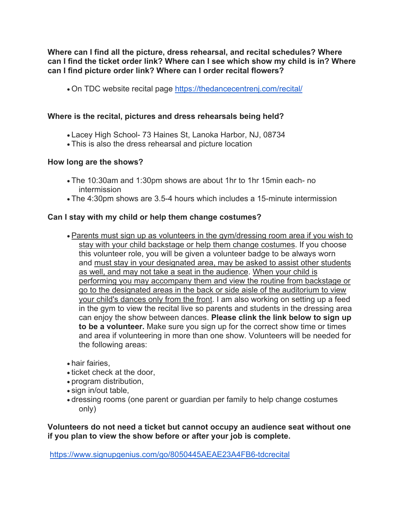**Where can I find all the picture, dress rehearsal, and recital schedules? Where can I find the ticket order link? Where can I see which show my child is in? Where can I find picture order link? Where can I order recital flowers?**

• On TDC website recital page <https://thedancecentrenj.com/recital/>

# **Where is the recital, pictures and dress rehearsals being held?**

- Lacey High School- 73 Haines St, Lanoka Harbor, NJ, 08734
- This is also the dress rehearsal and picture location

#### **How long are the shows?**

- The 10:30am and 1:30pm shows are about 1hr to 1hr 15min each- no intermission
- The 4:30pm shows are 3.5-4 hours which includes a 15-minute intermission

## **Can I stay with my child or help them change costumes?**

- Parents must sign up as volunteers in the gym/dressing room area if you wish to stay with your child backstage or help them change costumes. If you choose this volunteer role, you will be given a volunteer badge to be always worn and must stay in your designated area, may be asked to assist other students as well, and may not take a seat in the audience. When your child is performing you may accompany them and view the routine from backstage or go to the designated areas in the back or side aisle of the auditorium to view your child's dances only from the front. I am also working on setting up a feed in the gym to view the recital live so parents and students in the dressing area can enjoy the show between dances. **Please clink the link below to sign up to be a volunteer.** Make sure you sign up for the correct show time or times and area if volunteering in more than one show. Volunteers will be needed for the following areas:
- hair fairies,
- ticket check at the door,
- program distribution,
- sign in/out table,
- dressing rooms (one parent or guardian per family to help change costumes only)

**Volunteers do not need a ticket but cannot occupy an audience seat without one if you plan to view the show before or after your job is complete.**

<https://www.signupgenius.com/go/8050445AEAE23A4FB6-tdcrecital>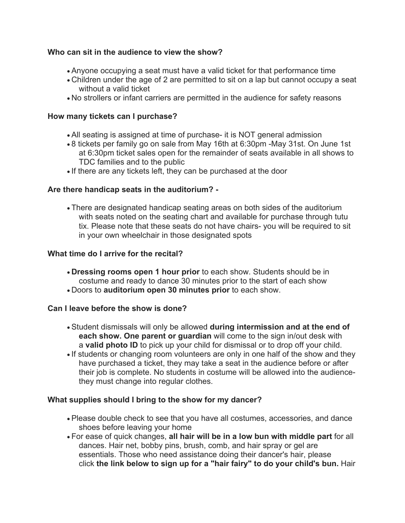### **Who can sit in the audience to view the show?**

- Anyone occupying a seat must have a valid ticket for that performance time
- Children under the age of 2 are permitted to sit on a lap but cannot occupy a seat without a valid ticket
- No strollers or infant carriers are permitted in the audience for safety reasons

### **How many tickets can I purchase?**

- All seating is assigned at time of purchase- it is NOT general admission
- 8 tickets per family go on sale from May 16th at 6:30pm -May 31st. On June 1st at 6:30pm ticket sales open for the remainder of seats available in all shows to TDC families and to the public
- If there are any tickets left, they can be purchased at the door

## **Are there handicap seats in the auditorium? -**

• There are designated handicap seating areas on both sides of the auditorium with seats noted on the seating chart and available for purchase through tutu tix. Please note that these seats do not have chairs- you will be required to sit in your own wheelchair in those designated spots

## **What time do I arrive for the recital?**

- **Dressing rooms open 1 hour prior** to each show. Students should be in costume and ready to dance 30 minutes prior to the start of each show
- Doors to **auditorium open 30 minutes prior** to each show.

#### **Can I leave before the show is done?**

- Student dismissals will only be allowed **during intermission and at the end of each show. One parent or guardian** will come to the sign in/out desk with a **valid photo ID** to pick up your child for dismissal or to drop off your child.
- If students or changing room volunteers are only in one half of the show and they have purchased a ticket, they may take a seat in the audience before or after their job is complete. No students in costume will be allowed into the audiencethey must change into regular clothes.

#### **What supplies should I bring to the show for my dancer?**

- Please double check to see that you have all costumes, accessories, and dance shoes before leaving your home
- For ease of quick changes, **all hair will be in a low bun with middle part** for all dances. Hair net, bobby pins, brush, comb, and hair spray or gel are essentials. Those who need assistance doing their dancer's hair, please click **the link below to sign up for a "hair fairy" to do your child's bun.** Hair